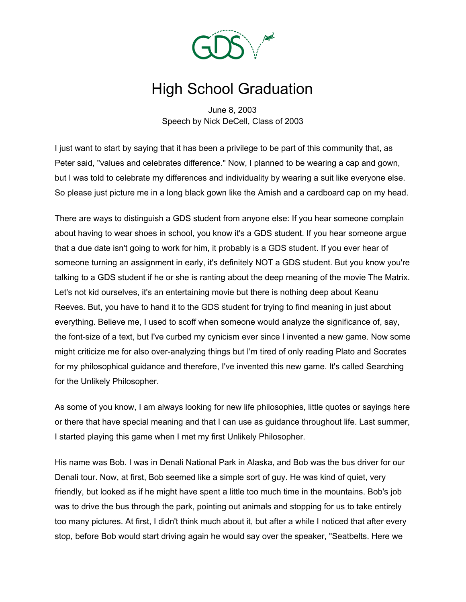

## High School Graduation

June 8, 2003 Speech by Nick DeCell, Class of 2003

I just want to start by saying that it has been a privilege to be part of this community that, as Peter said, "values and celebrates difference." Now, I planned to be wearing a cap and gown, but I was told to celebrate my differences and individuality by wearing a suit like everyone else. So please just picture me in a long black gown like the Amish and a cardboard cap on my head.

There are ways to distinguish a GDS student from anyone else: If you hear someone complain about having to wear shoes in school, you know it's a GDS student. If you hear someone argue that a due date isn't going to work for him, it probably is a GDS student. If you ever hear of someone turning an assignment in early, it's definitely NOT a GDS student. But you know you're talking to a GDS student if he or she is ranting about the deep meaning of the movie The Matrix. Let's not kid ourselves, it's an entertaining movie but there is nothing deep about Keanu Reeves. But, you have to hand it to the GDS student for trying to find meaning in just about everything. Believe me, I used to scoff when someone would analyze the significance of, say, the font-size of a text, but I've curbed my cynicism ever since I invented a new game. Now some might criticize me for also over-analyzing things but I'm tired of only reading Plato and Socrates for my philosophical guidance and therefore, I've invented this new game. It's called Searching for the Unlikely Philosopher.

As some of you know, I am always looking for new life philosophies, little quotes or sayings here or there that have special meaning and that I can use as guidance throughout life. Last summer, I started playing this game when I met my first Unlikely Philosopher.

His name was Bob. I was in Denali National Park in Alaska, and Bob was the bus driver for our Denali tour. Now, at first, Bob seemed like a simple sort of guy. He was kind of quiet, very friendly, but looked as if he might have spent a little too much time in the mountains. Bob's job was to drive the bus through the park, pointing out animals and stopping for us to take entirely too many pictures. At first, I didn't think much about it, but after a while I noticed that after every stop, before Bob would start driving again he would say over the speaker, "Seatbelts. Here we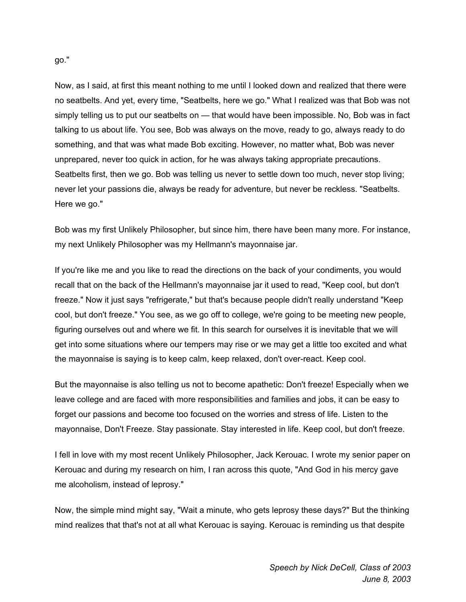Now, as I said, at first this meant nothing to me until I looked down and realized that there were no seatbelts. And yet, every time, "Seatbelts, here we go." What I realized was that Bob was not simply telling us to put our seatbelts on — that would have been impossible. No, Bob was in fact talking to us about life. You see, Bob was always on the move, ready to go, always ready to do something, and that was what made Bob exciting. However, no matter what, Bob was never unprepared, never too quick in action, for he was always taking appropriate precautions. Seatbelts first, then we go. Bob was telling us never to settle down too much, never stop living; never let your passions die, always be ready for adventure, but never be reckless. "Seatbelts. Here we go."

Bob was my first Unlikely Philosopher, but since him, there have been many more. For instance, my next Unlikely Philosopher was my Hellmann's mayonnaise jar.

If you're like me and you like to read the directions on the back of your condiments, you would recall that on the back of the Hellmann's mayonnaise jar it used to read, "Keep cool, but don't freeze." Now it just says "refrigerate," but that's because people didn't really understand "Keep cool, but don't freeze." You see, as we go off to college, we're going to be meeting new people, figuring ourselves out and where we fit. In this search for ourselves it is inevitable that we will get into some situations where our tempers may rise or we may get a little too excited and what the mayonnaise is saying is to keep calm, keep relaxed, don't over-react. Keep cool.

But the mayonnaise is also telling us not to become apathetic: Don't freeze! Especially when we leave college and are faced with more responsibilities and families and jobs, it can be easy to forget our passions and become too focused on the worries and stress of life. Listen to the mayonnaise, Don't Freeze. Stay passionate. Stay interested in life. Keep cool, but don't freeze.

I fell in love with my most recent Unlikely Philosopher, Jack Kerouac. I wrote my senior paper on Kerouac and during my research on him, I ran across this quote, "And God in his mercy gave me alcoholism, instead of leprosy."

Now, the simple mind might say, "Wait a minute, who gets leprosy these days?" But the thinking mind realizes that that's not at all what Kerouac is saying. Kerouac is reminding us that despite

go."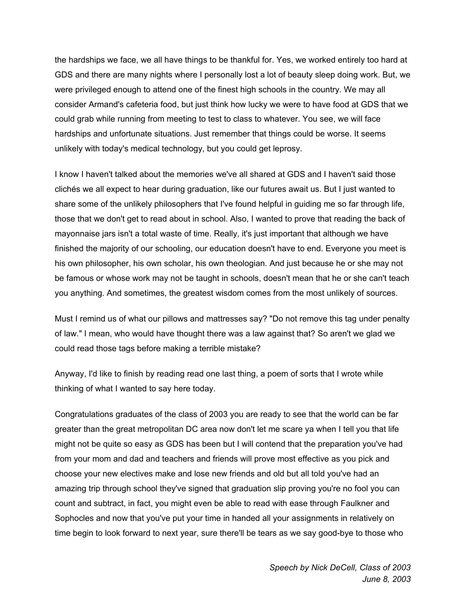the hardships we face, we all have things to be thankful for. Yes, we worked entirely too hard at GDS and there are many nights where I personally lost a lot of beauty sleep doing work. But, we were privileged enough to attend one of the finest high schools in the country. We may all consider Armand's cafeteria food, but just think how lucky we were to have food at GDS that we could grab while running from meeting to test to class to whatever. You see, we will face hardships and unfortunate situations. Just remember that things could be worse. It seems unlikely with today's medical technology, but you could get leprosy.

I know I haven't talked about the memories we've all shared at GDS and I haven't said those clichés we all expect to hear during graduation, like our futures await us. But I just wanted to share some of the unlikely philosophers that I've found helpful in guiding me so far through life, those that we don't get to read about in school. Also, I wanted to prove that reading the back of mayonnaise jars isn't a total waste of time. Really, it's just important that although we have finished the majority of our schooling, our education doesn't have to end. Everyone you meet is his own philosopher, his own scholar, his own theologian. And just because he or she may not be famous or whose work may not be taught in schools, doesn't mean that he or she can't teach you anything. And sometimes, the greatest wisdom comes from the most unlikely of sources.

Must I remind us of what our pillows and mattresses say? "Do not remove this tag under penalty of law." I mean, who would have thought there was a law against that? So aren't we glad we could read those tags before making a terrible mistake?

Anyway, I'd like to finish by reading read one last thing, a poem of sorts that I wrote while thinking of what I wanted to say here today.

Congratulations graduates of the class of 2003 you are ready to see that the world can be far greater than the great metropolitan DC area now don't let me scare ya when I tell you that life might not be quite so easy as GDS has been but I will contend that the preparation you've had from your mom and dad and teachers and friends will prove most effective as you pick and choose your new electives make and lose new friends and old but all told you've had an amazing trip through school they've signed that graduation slip proving you're no fool you can count and subtract, in fact, you might even be able to read with ease through Faulkner and Sophocles and now that you've put your time in handed all your assignments in relatively on time begin to look forward to next year, sure there'll be tears as we say good-bye to those who